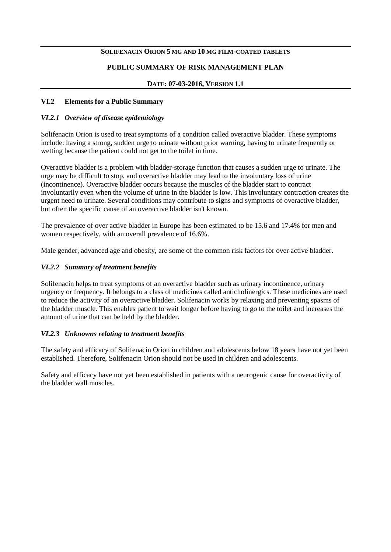#### **SOLIFENACIN ORION 5 MG AND 10 MG FILM-COATED TABLETS**

### **PUBLIC SUMMARY OF RISK MANAGEMENT PLAN**

### **DATE: 07-03-2016, VERSION 1.1**

### **VI.2 Elements for a Public Summary**

### *VI.2.1 Overview of disease epidemiology*

Solifenacin Orion is used to treat symptoms of a condition called overactive bladder. These symptoms include: having a strong, sudden urge to urinate without prior warning, having to urinate frequently or wetting because the patient could not get to the toilet in time.

Overactive bladder is a problem with bladder-storage function that causes a sudden urge to urinate. The urge may be difficult to stop, and overactive bladder may lead to the involuntary loss of urine (incontinence). Overactive bladder occurs because the muscles of the bladder start to contract involuntarily even when the volume of urine in the bladder is low. This involuntary contraction creates the urgent need to urinate. Several conditions may contribute to signs and symptoms of overactive bladder, but often the specific cause of an overactive bladder isn't known.

The prevalence of over active bladder in Europe has been estimated to be 15.6 and 17.4% for men and women respectively, with an overall prevalence of 16.6%.

Male gender, advanced age and obesity, are some of the common risk factors for over active bladder.

### *VI.2.2 Summary of treatment benefits*

Solifenacin helps to treat symptoms of an overactive bladder such as urinary incontinence, urinary urgency or frequency. It belongs to a class of medicines called anticholinergics. These medicines are used to reduce the activity of an overactive bladder. Solifenacin works by relaxing and preventing spasms of the bladder muscle. This enables patient to wait longer before having to go to the toilet and increases the amount of urine that can be held by the bladder.

#### *VI.2.3 Unknowns relating to treatment benefits*

The safety and efficacy of Solifenacin Orion in children and adolescents below 18 years have not yet been established. Therefore, Solifenacin Orion should not be used in children and adolescents.

Safety and efficacy have not yet been established in patients with a neurogenic cause for overactivity of the bladder wall muscles.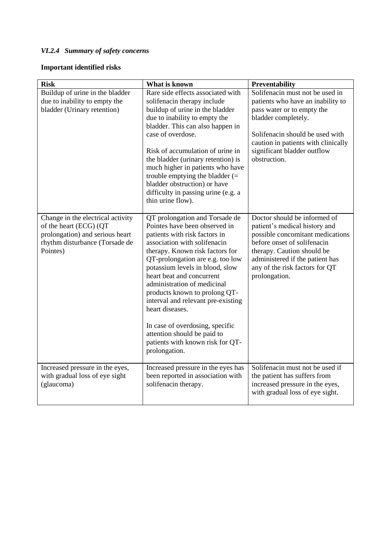# *VI.2.4 Summary of safety concerns*

# **Important identified risks**

| <b>Risk</b>                                                                                                                                  | What is known                                                                                                                                                                                                                                                                                                                                                                                                                                                                                                           | Preventability                                                                                                                                                                                                                                       |
|----------------------------------------------------------------------------------------------------------------------------------------------|-------------------------------------------------------------------------------------------------------------------------------------------------------------------------------------------------------------------------------------------------------------------------------------------------------------------------------------------------------------------------------------------------------------------------------------------------------------------------------------------------------------------------|------------------------------------------------------------------------------------------------------------------------------------------------------------------------------------------------------------------------------------------------------|
| Buildup of urine in the bladder<br>due to inability to empty the<br>bladder (Urinary retention)                                              | Rare side effects associated with<br>solifenacin therapy include<br>buildup of urine in the bladder<br>due to inability to empty the<br>bladder. This can also happen in<br>case of overdose.<br>Risk of accumulation of urine in<br>the bladder (urinary retention) is<br>much higher in patients who have<br>trouble emptying the bladder $(=$<br>bladder obstruction) or have<br>difficulty in passing urine (e.g. a<br>thin urine flow).                                                                            | Solifenacin must not be used in<br>patients who have an inability to<br>pass water or to empty the<br>bladder completely.<br>Solifenacin should be used with<br>caution in patients with clinically<br>significant bladder outflow<br>obstruction.   |
| Change in the electrical activity<br>of the heart (ECG) (QT<br>prolongation) and serious heart<br>rhythm disturbance (Torsade de<br>Pointes) | QT prolongation and Torsade de<br>Pointes have been observed in<br>patients with risk factors in<br>association with solifenacin<br>therapy. Known risk factors for<br>QT-prolongation are e.g. too low<br>potassium levels in blood, slow<br>heart beat and concurrent<br>administration of medicinal<br>products known to prolong QT-<br>interval and relevant pre-existing<br>heart diseases.<br>In case of overdosing, specific<br>attention should be paid to<br>patients with known risk for QT-<br>prolongation. | Doctor should be informed of<br>patient's medical history and<br>possible concomitant medications<br>before onset of solifenacin<br>therapy. Caution should be<br>administered if the patient has<br>any of the risk factors for QT<br>prolongation. |
| Increased pressure in the eyes,<br>with gradual loss of eye sight<br>(glaucoma)                                                              | Increased pressure in the eyes has<br>been reported in association with<br>solifenacin therapy.                                                                                                                                                                                                                                                                                                                                                                                                                         | Solifenacin must not be used if<br>the patient has suffers from<br>increased pressure in the eyes,<br>with gradual loss of eye sight.                                                                                                                |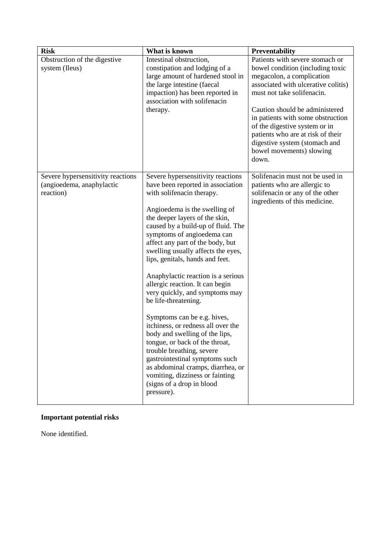| <b>Risk</b>                                                                 | What is known                                                                                                                                                                                                                                                                                                                                                                                                                                                                                                                                                                                                                                                                                                                                                                                                         | <b>Preventability</b>                                                                                                                                                                                                                                                                                                                                                                    |
|-----------------------------------------------------------------------------|-----------------------------------------------------------------------------------------------------------------------------------------------------------------------------------------------------------------------------------------------------------------------------------------------------------------------------------------------------------------------------------------------------------------------------------------------------------------------------------------------------------------------------------------------------------------------------------------------------------------------------------------------------------------------------------------------------------------------------------------------------------------------------------------------------------------------|------------------------------------------------------------------------------------------------------------------------------------------------------------------------------------------------------------------------------------------------------------------------------------------------------------------------------------------------------------------------------------------|
| Obstruction of the digestive<br>system (Ileus)                              | Intestinal obstruction,<br>constipation and lodging of a<br>large amount of hardened stool in<br>the large intestine (faecal<br>impaction) has been reported in<br>association with solifenacin<br>therapy.                                                                                                                                                                                                                                                                                                                                                                                                                                                                                                                                                                                                           | Patients with severe stomach or<br>bowel condition (including toxic<br>megacolon, a complication<br>associated with ulcerative colitis)<br>must not take solifenacin.<br>Caution should be administered<br>in patients with some obstruction<br>of the digestive system or in<br>patients who are at risk of their<br>digestive system (stomach and<br>bowel movements) slowing<br>down. |
| Severe hypersensitivity reactions<br>(angioedema, anaphylactic<br>reaction) | Severe hypersensitivity reactions<br>have been reported in association<br>with solifenacin therapy.<br>Angioedema is the swelling of<br>the deeper layers of the skin,<br>caused by a build-up of fluid. The<br>symptoms of angioedema can<br>affect any part of the body, but<br>swelling usually affects the eyes,<br>lips, genitals, hands and feet.<br>Anaphylactic reaction is a serious<br>allergic reaction. It can begin<br>very quickly, and symptoms may<br>be life-threatening.<br>Symptoms can be e.g. hives,<br>itchiness, or redness all over the<br>body and swelling of the lips,<br>tongue, or back of the throat,<br>trouble breathing, severe<br>gastrointestinal symptoms such<br>as abdominal cramps, diarrhea, or<br>vomiting, dizziness or fainting<br>(signs of a drop in blood<br>pressure). | Solifenacin must not be used in<br>patients who are allergic to<br>solifenacin or any of the other<br>ingredients of this medicine.                                                                                                                                                                                                                                                      |

# **Important potential risks**

None identified.